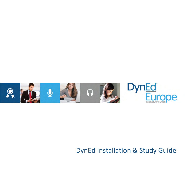

# DynEd Installation & Study Guide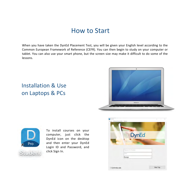## How to Start

When you have taken the DynEd Placement Test, you will be given your English level according to the Common European Framework of Reference (CEFR). You can then begin to study on your computer or tablet. You can also use your smart phone, but the screen size may make it difficult to do some of the lessons.

## Installation & Use on Laptops & PCs





To install courses on your computer, just click the DynEd icon on the desktop and then enter your DynEd Login ID and Password, and click Sign In.

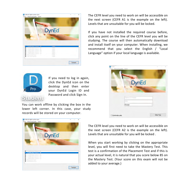| <b>DynEd</b>                                                                                                                                 |                                      |  |
|----------------------------------------------------------------------------------------------------------------------------------------------|--------------------------------------|--|
|                                                                                                                                              |                                      |  |
|                                                                                                                                              |                                      |  |
| Certification Course - AT<br>Certification Course -42                                                                                        | Yille<br>Yilde<br><b>YIME</b>        |  |
| 0000000<br>Certification Course - BT<br>Centrication Course - B2<br>Certification Course - CT<br>Cerilitostian Course - C7<br>Placement Test | YUME<br>Yilile<br><b>YOU</b><br>YIHE |  |

Pro

If you need to log in again. click the DynEd icon on the desktop and then enter your DynEd Login ID and Password and click Sign In.

### the einst

You can work offline by clicking the box in the lower left corner. In this case, your study records will be stored on your computer.



The CEFR level you need to work on will be accessible on the next screen (CEFR A1 is the example on the left). Levels that are unsuitable for you will be locked.

If you have not installed the required course before, click any point on the line of the CEFR level you will be studying. The course will then automatically download and install itself on your computer. When installing, we recommend that you select the English / "Local Language" option if your local language is available.



The CEFR level you need to work on will be accessible on the next screen (CEFR A2 is the example on the left). Levels that are unsuitable for you will be locked.

When you start working by clicking on the appropriate level, you will first need to take the Mastery Test. This test is a confirmation of the Placement Test and if this is your actual level, it is natural that you score below 85 on the Mastery Test. (Your score on this exam will not be added to your average.)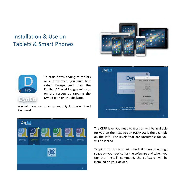## Installation & Use on Tablets & Smart Phones





To start downloading to tablets or smartphones, you must first select Europe and then the English / "Local Language" tabs on the screen by tapping the DynEd icon on the desktop.

You will then need to enter your DynEd Login ID and Password.





The CEFR level you need to work on will be available for you on the next screen (CEFR A2 is the example on the left). The levels that are unsuitable for you will be locked.

Tapping on this icon will check if there is enough space on your device for the software and when you tap the "Install" command, the software will be installed on your device.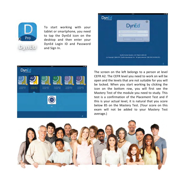

To start working with your tablet or smartphone, you need to tap the DynEd icon on the desktop and then enter your DynEd Login ID and Password and Sign In.





The screen on the left belongs to a person at level CEFR A2. The CEFR level you need to work on will be open and the levels that are not suitable for you will be locked. When you start working by clicking the icon on the bottom row, you will first see the Mastery Test of the module you need to study. This test is a confirmation of the Placement Test and if this is your actual level, it is natural that you score below 85 on the Mastery Test. (Your score on this exam will not be added to your Mastery Test average.)

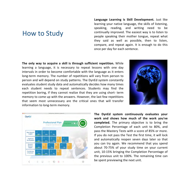### How to Study

**Language Learning is Skill Development.** Just like learning your native language, the skills of listening, speaking, reading, and writing need to be continually improved. The easiest way is to listen to people speaking their mother tongue, repeat what they said as well as possible, then to listen, compare, and repeat again. It is enough to do this once per day for each sentence.

**The only way to acquire a skill is through sufficient repetition.** While learning a language, it is necessary to repeat lessons with one day intervals in order to become comfortable with the language as it enters long-term memory. The number of repetitions will vary from person to person and will depend on study patterns. The DynEd system constantly evaluates student study data and automatically decides how many times each student needs to repeat sentences. Students may find the repetition boring, if they cannot realize that they are using short- term memory to come up with the answers. However, the last few repetitions that seem most unnecessary are the critical ones that will transfer information to long-term memory.





The DynEd system continuously evaluates your work and shows how much of the work you've **completed.** The primary objective is to bring the Completion Percentage of each unit to 80%, and pass the Mastery Tests with a score of 85% or more. If you do not pass the Test the first time, it will lock and automatically reopen seven days later so that you can try again. We recommend that you spend about 70-75% of your study time on your current unit, 10-15% bringing the Completion Percentage of the previous unit to 100%. The remaining time can be spent previewing the next unit.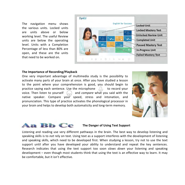The navigation menu shows the various units. Locked units are units above or below working level. The useful Review units are below the operating level. Units with a Completion Percentage of less than 80% are open, and these are the units that need to be worked on.



#### **The Importance of Recording/Playback**

One very important advantage of multimedia study is the possibility to activate many parts of your brain at once. After you have studied a lesson to the point where your comprehension is good, you should begin to practice saying each sentence. Use the microphone  $\cup$  to record your voice. Then listen to yourself  $\binom{1}{r}$  and *compare* what you said with the native speaker. Compare your speed, stress and intonation, and pronunciation. This type of practice activates the phonological processor in your brain and helps to develop both automaticity and long-term memory.





Listening and reading use very different pathways in the brain. The best way to develop listening and speaking skills is to *not* rely on text. Using text as a support interferes with the development of listening and speaking skills, which need to be developed first. When studying a lesson, try not to use the text support until after you have developed your ability to understand and repeat the key sentences. Research indicates that using the text support too soon *slows down* your listening and speaking development  $-$  even though most students think that using the text is an effective way to learn. It may be comfortable, but it isn't effective.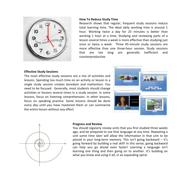

#### **How To Reduce Study Time**

Research shows that regular, frequent study sessions reduce total learning time. The ideal daily working time is around 1 hour. Working twice a day for 25 minutes is better than working 1 hour at a time. Studying and reviewing parts of a lesson several times a week is more effective than studying just once or twice a week. Three 45-minute study sessions are more effective than one three-hour session. Study sessions that are too long are generally inefficient and counterproductive.

#### **Effective Study Sessions**

The most effective study sessions are a mix of activities and lessons. Spending too much time on an activity or lesson in a single study session creates boredom and inattention. You need to be focused. Generally, most students should change activities or lessons several times in a study session. In some lessons, focus on listening comprehension. In other lessons, focus on speaking practice. Some lessons should be done *every* day until you have mastered them or can summarize the entire lesson without any effort.





#### **Progress and Review**

You should regularly review units that you first studied three weeks ago, and be prepared to use that language at any time. Repeating a unit some time later will allow the information in that unit to be placed in your long-term memory. This isn't going backward  $-$  it's going forward by building a real skill! In this sense, going backward can help you go ahead even faster! Learning a language isn't learning one thing and then going on to another. It's building on what you know and using it *all*, in an expanding spiral.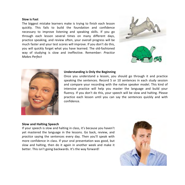#### **Slow is Fast**

The biggest mistake learners make is trying to finish each lesson quickly. This fails to build the foundation and confidence necessary to improve listening and speaking skills. If you go through each lesson several times on many different days, practice speaking, and review often, your overall progress will be much faster and your test scores will improve. If you don't do this, you will quickly forget what you have learned. The old-fashioned way of studying is slow and ineffective. Remember: *Practice Makes Perfect*





#### **Understanding is Only the Beginning**

Once you understand a lesson, you should go through it and practice speaking the sentences. Record 5 or 10 sentences in each study session and compare your recording with the native speaker model. This kind of intensive practice will help you master the language and build your fluency. If you don't do this, your speech will be slow and halting. Please practice each lesson until you can say the sentences quickly and with confidence.

#### **Slow and Halting Speech**

If your speech is slow and halting in class, it's because you haven't yet mastered the language in the lessons. Go back, review, and *practice* saying the sentences every day. Then you'll speak with more confidence in class. If your oral presentation was good, but slow and halting, then do it again in another week and make it better. This isn't going backwards. It's the way forward!